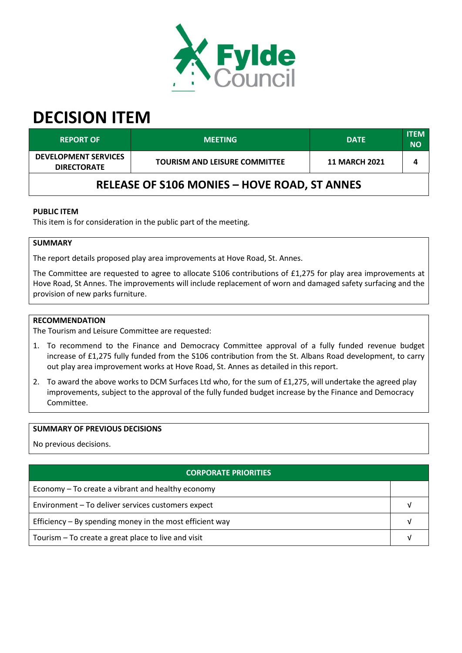

# **DECISION ITEM**

| <b>REPORT OF</b>                                    | <b>MEETING</b>                       | <b>DATE</b>          | <b>ITEM</b><br><b>NO</b> |  |  |  |
|-----------------------------------------------------|--------------------------------------|----------------------|--------------------------|--|--|--|
| <b>DEVELOPMENT SERVICES</b><br><b>DIRECTORATE</b>   | <b>TOURISM AND LEISURE COMMITTEE</b> | <b>11 MARCH 2021</b> |                          |  |  |  |
| <b>RELEASE OF S106 MONIES - HOVE ROAD, ST ANNES</b> |                                      |                      |                          |  |  |  |

# **PUBLIC ITEM**

This item is for consideration in the public part of the meeting.

# **SUMMARY**

The report details proposed play area improvements at Hove Road, St. Annes.

The Committee are requested to agree to allocate S106 contributions of £1,275 for play area improvements at Hove Road, St Annes. The improvements will include replacement of worn and damaged safety surfacing and the provision of new parks furniture.

### **RECOMMENDATION**

The Tourism and Leisure Committee are requested:

- 1. To recommend to the Finance and Democracy Committee approval of a fully funded revenue budget increase of £1,275 fully funded from the S106 contribution from the St. Albans Road development, to carry out play area improvement works at Hove Road, St. Annes as detailed in this report.
- 2. To award the above works to DCM Surfaces Ltd who, for the sum of £1,275, will undertake the agreed play improvements, subject to the approval of the fully funded budget increase by the Finance and Democracy Committee.

#### **SUMMARY OF PREVIOUS DECISIONS**

No previous decisions.

| <b>CORPORATE PRIORITIES</b>                                |  |  |
|------------------------------------------------------------|--|--|
| Economy – To create a vibrant and healthy economy          |  |  |
| Environment - To deliver services customers expect         |  |  |
| Efficiency $-$ By spending money in the most efficient way |  |  |
| Tourism – To create a great place to live and visit        |  |  |